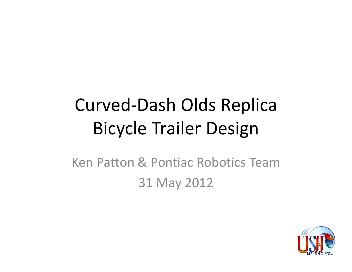# **Curved-Dash Olds Replica Bicycle Trailer Design**

Ken Patton & Pontiac Robotics Team 31 May 2012

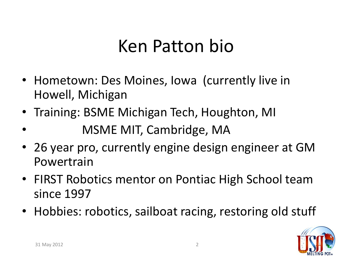### Ken Patton bio

- Hometown: Des Moines, Iowa (currently live in Howell, Michigan
- Training: BSME Michigan Tech, Houghton, MI
- MSME MIT, Cambridge, MA
- 26 year pro, currently engine design engineer at GM Powertrain
- FIRST Robotics mentor on Pontiac High School team since 1997
- Hobbies: robotics, sailboat racing, restoring old stuff

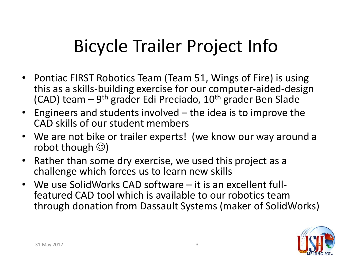# **Bicycle Trailer Project Info**

- Pontiac FIRST Robotics Team (Team 51, Wings of Fire) is using this as a skills-building exercise for our computer-aided-design (CAD) team – 9<sup>th</sup> grader Edi Preciado, 10<sup>th</sup> grader Ben Slade
- Engineers and students involved the idea is to improve the CAD skills of our student members
- We are not bike or trailer experts! (we know our way around a robot though  $\circledcirc$ )
- Rather than some dry exercise, we used this project as a challenge which forces us to learn new skills
- We use SolidWorks CAD software it is an excellent fullfeatured CAD tool which is available to our robotics team through donation from Dassault Systems (maker of SolidWorks)

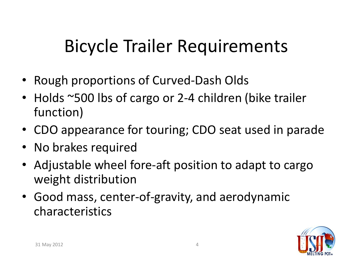# **Bicycle Trailer Requirements**

- Rough proportions of Curved-Dash Olds
- Holds ~500 lbs of cargo or 2-4 children (bike trailer function)
- CDO appearance for touring; CDO seat used in parade
- No brakes required
- Adjustable wheel fore-aft position to adapt to cargo weight distribution
- Good mass, center-of-gravity, and aerodynamic characteristics

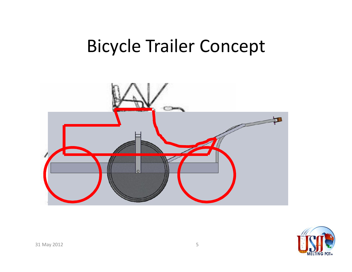

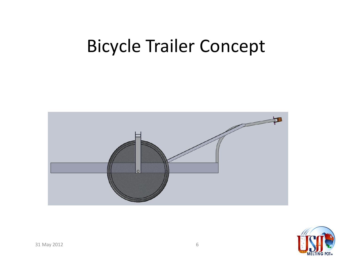

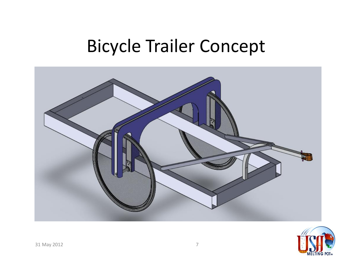